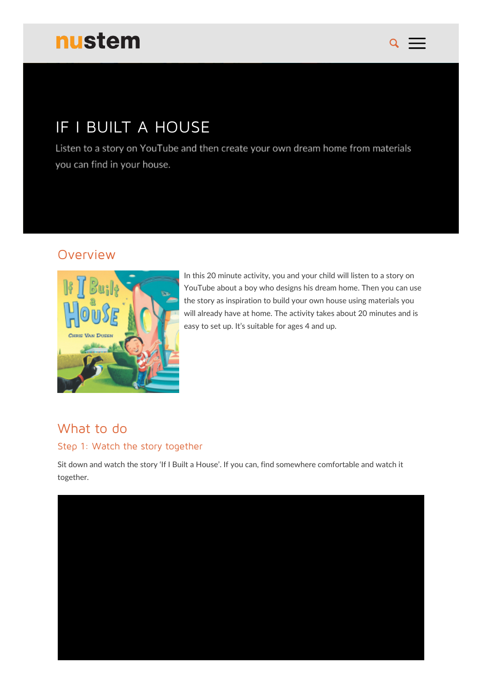# nustem

# IF I BUILT A HOUSE

Listen to a story on YouTube and then create your own dream home from materials you can find in your house.

### Overview



In this 20 minute activity, you and your child will listen to a story on YouTube about a boy who designs his dream home. Then you can use the story as inspiration to build your own house using materials you will already have at home. The activity takes about 20 minutes and is easy to set up. It's suitable for ages 4 and up.

 $\mathbf Q$ 

# What to do

#### Step 1: Watch the story together

Sit down and watch the story 'If I Built a House'. If you can, find somewhere comfortable and watch it together.

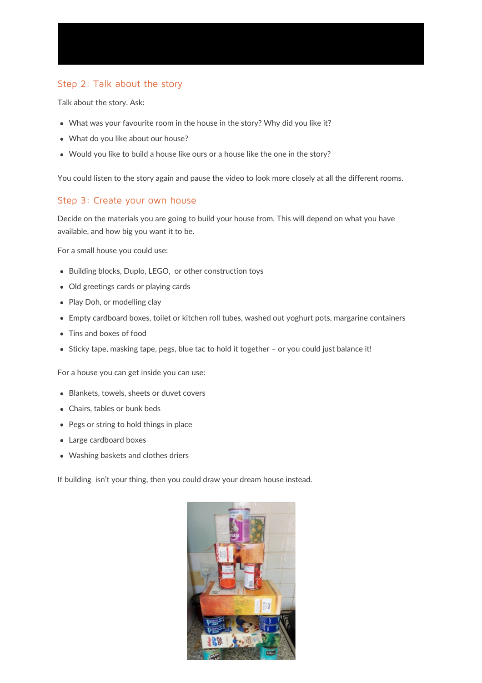#### Step 2: Talk about the story

Talk about the story. Ask:

- What was your favourite room in the house in the story? Why did you like it?
- What do you like about our house?
- Would you like to build a house like ours or a house like the one in the story?

You could listen to the story again and pause the video to look more closely at all the different rooms.

#### Step 3: Create your own house

Decide on the materials you are going to build your house from. This will depend on what you have available, and how big you want it to be.

For a small house you could use:

- Building blocks, Duplo, LEGO, or other construction toys
- Old greetings cards or playing cards
- Play Doh, or modelling clay
- Empty cardboard boxes, toilet or kitchen roll tubes, washed out yoghurt pots, margarine containers
- Tins and boxes of food
- Sticky tape, masking tape, pegs, blue tac to hold it together or you could just balance it!

For a house you can get inside you can use:

- Blankets, towels, sheets or duvet covers
- Chairs, tables or bunk beds
- Pegs or string to hold things in place
- Large cardboard boxes
- Washing baskets and clothes driers

If building isn't your thing, then you could draw your dream house instead.

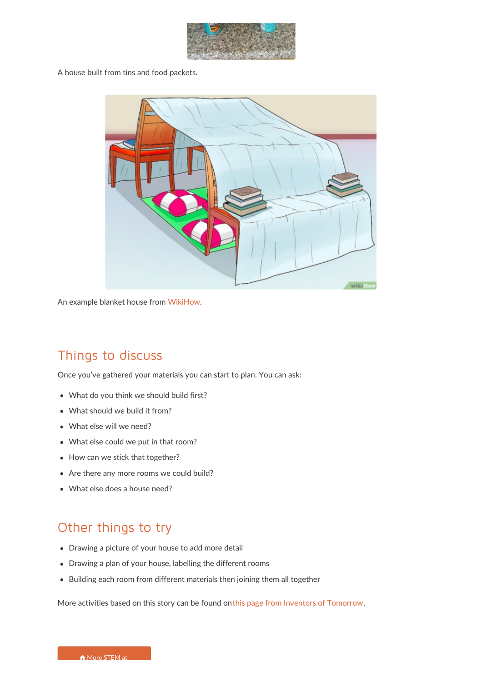

A house built from tins and food packets.



An example blanket house from [WikiHow](https://www.wikihow.com/Make-a-Blanket-Fort).

## Things to discuss

Once you've gathered your materials you can start to plan. You can ask:

- What do you think we should build first?
- What should we build it from?
- What else will we need?
- What else could we put in that room?
- How can we stick that together?
- Are there any more rooms we could build?
- What else does a house need?

## Other things to try

- Drawing a picture of your house to add more detail
- Drawing a plan of your house, labelling the different rooms
- Building each room from different materials then joining them all together

More activities based on this story can be found onthis page from Inventors of [Tomorrow](https://inventorsoftomorrow.com/2016/10/17/if-i-built-a-house-2/).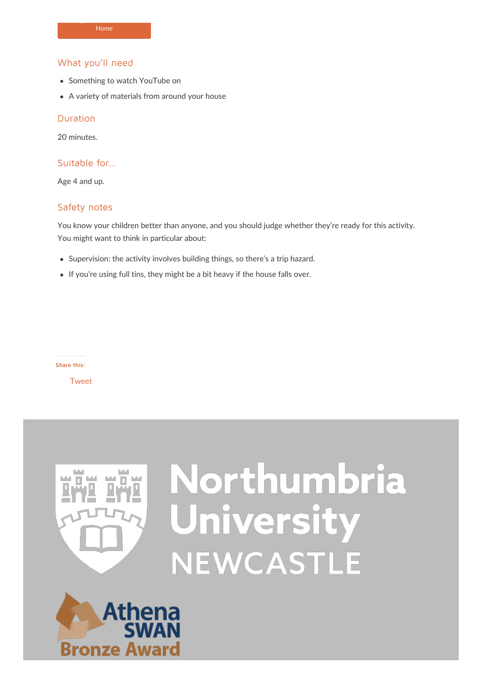#### What you'll need

 $\overline{\phantom{a}}$ 

- Something to watch YouTube on
- A variety of materials from around your house

#### Duration

20 minutes.

#### Suitable for…

Age 4 and up.

#### Safety notes

You know your children better than anyone, and you should judge whether they're ready for this activity. You might want to think in particular about:

- Supervision: the activity involves building things, so there's a trip hazard.
- If you're using full tins, they might be a bit heavy if the house falls over.

**Share this:**

**[Tweet](https://twitter.com/share)** 



# Northumbria University NEWCASTLE